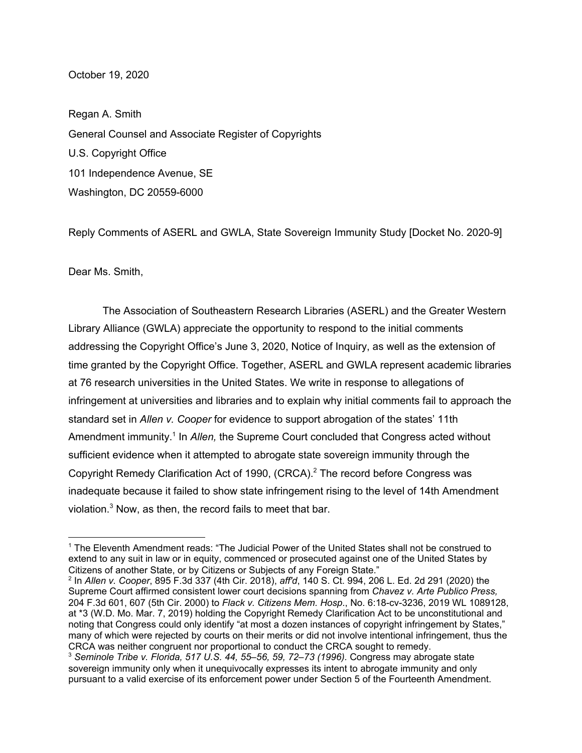## October 19, 2020

Regan A. Smith General Counsel and Associate Register of Copyrights U.S. Copyright Office 101 Independence Avenue, SE Washington, DC 20559-6000

Reply Comments of ASERL and GWLA, State Sovereign Immunity Study [Docket No. 2020-9]

Dear Ms. Smith,

The Association of Southeastern Research Libraries (ASERL) and the Greater Western Library Alliance (GWLA) appreciate the opportunity to respond to the initial comments addressing the Copyright Office's June 3, 2020, Notice of Inquiry, as well as the extension of time granted by the Copyright Office. Together, ASERL and GWLA represent academic libraries at 76 research universities in the United States. We write in response to allegations of infringement at universities and libraries and to explain why initial comments fail to approach the standard set in *Allen v. Cooper* for evidence to support abrogation of the states' 11th Amendment immunity.<sup>1</sup> In Allen, the Supreme Court concluded that Congress acted without sufficient evidence when it attempted to abrogate state sovereign immunity through the Copyright Remedy Clarification Act of 1990, (CRCA). <sup>2</sup> The record before Congress was inadequate because it failed to show state infringement rising to the level of 14th Amendment violation. <sup>3</sup> Now, as then, the record fails to meet that bar.

<sup>1</sup> The Eleventh Amendment reads: "The Judicial Power of the United States shall not be construed to extend to any suit in law or in equity, commenced or prosecuted against one of the United States by Citizens of another State, or by Citizens or Subjects of any Foreign State."

<sup>2</sup> In *Allen v. Cooper*, 895 F.3d 337 (4th Cir. 2018), *aff'd*, 140 S. Ct. 994, 206 L. Ed. 2d 291 (2020) the Supreme Court affirmed consistent lower court decisions spanning from *Chavez v. Arte Publico Press,* 204 F.3d 601, 607 (5th Cir. 2000) to *Flack v. Citizens Mem. Hosp*., No. 6:18-cv-3236, 2019 WL 1089128, at \*3 (W.D. Mo. Mar. 7, 2019) holding the Copyright Remedy Clarification Act to be unconstitutional and noting that Congress could only identify "at most a dozen instances of copyright infringement by States," many of which were rejected by courts on their merits or did not involve intentional infringement, thus the CRCA was neither congruent nor proportional to conduct the CRCA sought to remedy.

<sup>3</sup> *Seminole Tribe v. Florida, 517 U.S. 44, 55–56, 59, 72–73 (1996).* Congress may abrogate state sovereign immunity only when it unequivocally expresses its intent to abrogate immunity and only pursuant to a valid exercise of its enforcement power under Section 5 of the Fourteenth Amendment.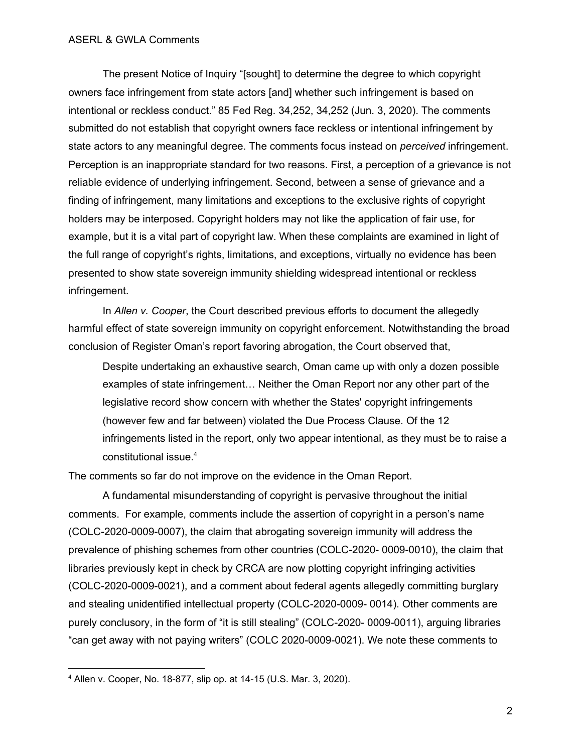The present Notice of Inquiry "[sought] to determine the degree to which copyright owners face infringement from state actors [and] whether such infringement is based on intentional or reckless conduct." 85 Fed Reg. 34,252, 34,252 (Jun. 3, 2020). The comments submitted do not establish that copyright owners face reckless or intentional infringement by state actors to any meaningful degree. The comments focus instead on *perceived* infringement. Perception is an inappropriate standard for two reasons. First, a perception of a grievance is not reliable evidence of underlying infringement. Second, between a sense of grievance and a finding of infringement, many limitations and exceptions to the exclusive rights of copyright holders may be interposed. Copyright holders may not like the application of fair use, for example, but it is a vital part of copyright law. When these complaints are examined in light of the full range of copyright's rights, limitations, and exceptions, virtually no evidence has been presented to show state sovereign immunity shielding widespread intentional or reckless infringement.

In *Allen v. Cooper*, the Court described previous efforts to document the allegedly harmful effect of state sovereign immunity on copyright enforcement. Notwithstanding the broad conclusion of Register Oman's report favoring abrogation, the Court observed that,

Despite undertaking an exhaustive search, Oman came up with only a dozen possible examples of state infringement… Neither the Oman Report nor any other part of the legislative record show concern with whether the States' copyright infringements (however few and far between) violated the Due Process Clause. Of the 12 infringements listed in the report, only two appear intentional, as they must be to raise a constitutional issue. 4

The comments so far do not improve on the evidence in the Oman Report.

A fundamental misunderstanding of copyright is pervasive throughout the initial comments. For example, comments include the assertion of copyright in a person's name (COLC-2020-0009-0007), the claim that abrogating sovereign immunity will address the prevalence of phishing schemes from other countries (COLC-2020- 0009-0010), the claim that libraries previously kept in check by CRCA are now plotting copyright infringing activities (COLC-2020-0009-0021), and a comment about federal agents allegedly committing burglary and stealing unidentified intellectual property (COLC-2020-0009- 0014). Other comments are purely conclusory, in the form of "it is still stealing" (COLC-2020- 0009-0011), arguing libraries "can get away with not paying writers" (COLC 2020-0009-0021). We note these comments to

<sup>4</sup> Allen v. Cooper, No. 18-877, slip op. at 14-15 (U.S. Mar. 3, 2020).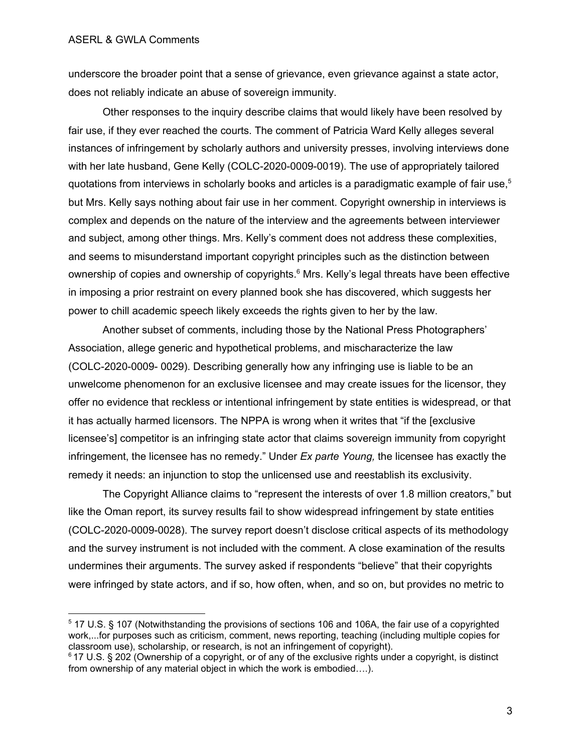underscore the broader point that a sense of grievance, even grievance against a state actor, does not reliably indicate an abuse of sovereign immunity.

Other responses to the inquiry describe claims that would likely have been resolved by fair use, if they ever reached the courts. The comment of Patricia Ward Kelly alleges several instances of infringement by scholarly authors and university presses, involving interviews done with her late husband, Gene Kelly (COLC-2020-0009-0019). The use of appropriately tailored quotations from interviews in scholarly books and articles is a paradigmatic example of fair use,<sup>5</sup> but Mrs. Kelly says nothing about fair use in her comment. Copyright ownership in interviews is complex and depends on the nature of the interview and the agreements between interviewer and subject, among other things. Mrs. Kelly's comment does not address these complexities, and seems to misunderstand important copyright principles such as the distinction between ownership of copies and ownership of copyrights.<sup>6</sup> Mrs. Kelly's legal threats have been effective in imposing a prior restraint on every planned book she has discovered, which suggests her power to chill academic speech likely exceeds the rights given to her by the law.

Another subset of comments, including those by the National Press Photographers' Association, allege generic and hypothetical problems, and mischaracterize the law (COLC-2020-0009- 0029). Describing generally how any infringing use is liable to be an unwelcome phenomenon for an exclusive licensee and may create issues for the licensor, they offer no evidence that reckless or intentional infringement by state entities is widespread, or that it has actually harmed licensors. The NPPA is wrong when it writes that "if the [exclusive licensee's] competitor is an infringing state actor that claims sovereign immunity from copyright infringement, the licensee has no remedy." Under *Ex parte Young,* the licensee has exactly the remedy it needs: an injunction to stop the unlicensed use and reestablish its exclusivity.

The Copyright Alliance claims to "represent the interests of over 1.8 million creators," but like the Oman report, its survey results fail to show widespread infringement by state entities (COLC-2020-0009-0028). The survey report doesn't disclose critical aspects of its methodology and the survey instrument is not included with the comment. A close examination of the results undermines their arguments. The survey asked if respondents "believe" that their copyrights were infringed by state actors, and if so, how often, when, and so on, but provides no metric to

<sup>5</sup> 17 U.S. § 107 (Notwithstanding the provisions of sections 106 and 106A, the fair use of a copyrighted work,...for purposes such as criticism, comment, news reporting, teaching (including multiple copies for classroom use), scholarship, or research, is not an infringement of copyright).

<sup>6</sup> 17 U.S. § 202 (Ownership of a copyright, or of any of the exclusive rights under a copyright, is distinct from ownership of any material object in which the work is embodied….).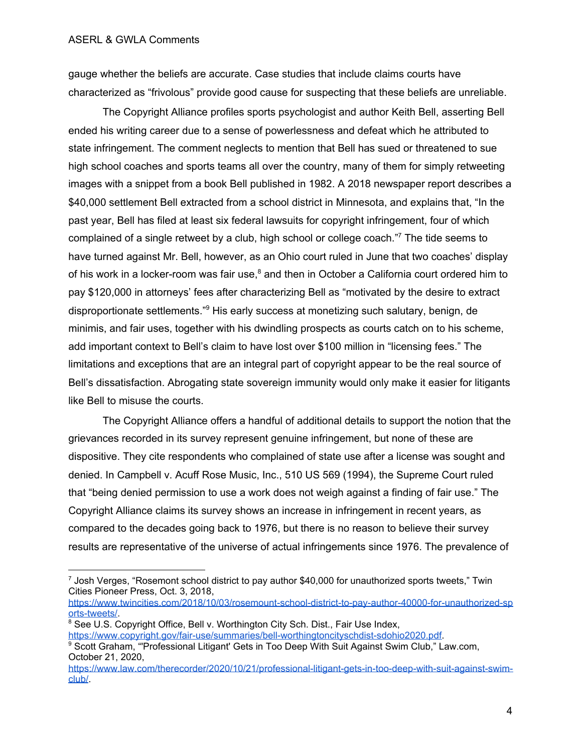gauge whether the beliefs are accurate. Case studies that include claims courts have characterized as "frivolous" provide good cause for suspecting that these beliefs are unreliable.

The Copyright Alliance profiles sports psychologist and author Keith Bell, asserting Bell ended his writing career due to a sense of powerlessness and defeat which he attributed to state infringement. The comment neglects to mention that Bell has sued or threatened to sue high school coaches and sports teams all over the country, many of them for simply retweeting images with a snippet from a book Bell published in 1982. A 2018 newspaper report describes a \$40,000 settlement Bell extracted from a school district in Minnesota, and explains that, "In the past year, Bell has filed at least six federal lawsuits for copyright infringement, four of which complained of a single retweet by a club, high school or college coach."<sup>7</sup> The tide seems to have turned against Mr. Bell, however, as an Ohio court ruled in June that two coaches' display of his work in a locker-room was fair use,<sup>8</sup> and then in October a California court ordered him to pay \$120,000 in attorneys' fees after characterizing Bell as "motivated by the desire to extract disproportionate settlements."<sup>9</sup> His early success at monetizing such salutary, benign, de minimis, and fair uses, together with his dwindling prospects as courts catch on to his scheme, add important context to Bell's claim to have lost over \$100 million in "licensing fees." The limitations and exceptions that are an integral part of copyright appear to be the real source of Bell's dissatisfaction. Abrogating state sovereign immunity would only make it easier for litigants like Bell to misuse the courts.

The Copyright Alliance offers a handful of additional details to support the notion that the grievances recorded in its survey represent genuine infringement, but none of these are dispositive. They cite respondents who complained of state use after a license was sought and denied. In Campbell v. Acuff Rose Music, Inc., 510 US 569 (1994), the Supreme Court ruled that "being denied permission to use a work does not weigh against a finding of fair use." The Copyright Alliance claims its survey shows an increase in infringement in recent years, as compared to the decades going back to 1976, but there is no reason to believe their survey results are representative of the universe of actual infringements since 1976. The prevalence of

[https://www.twincities.com/2018/10/03/rosemount-school-district-to-pay-author-40000-for-unauthorized-sp](https://www.twincities.com/2018/10/03/rosemount-school-district-to-pay-author-40000-for-unauthorized-sports-tweets/) [orts-tweets/.](https://www.twincities.com/2018/10/03/rosemount-school-district-to-pay-author-40000-for-unauthorized-sports-tweets/)

<sup>8</sup> See U.S. Copyright Office, Bell v. Worthington City Sch. Dist., Fair Use Index, [https://www.copyright.gov/fair-use/summaries/bell-worthingtoncityschdist-sdohio2020.pdf.](https://www.copyright.gov/fair-use/summaries/bell-worthingtoncityschdist-sdohio2020.pdf)

 $7$  Josh Verges, "Rosemont school district to pay author \$40,000 for unauthorized sports tweets," Twin Cities Pioneer Press, Oct. 3, 2018,

<sup>&</sup>lt;sup>9</sup> Scott Graham, "Professional Litigant' Gets in Too Deep With Suit Against Swim Club," Law.com, October 21, 2020,

[https://www.law.com/therecorder/2020/10/21/professional-litigant-gets-in-too-deep-with-suit-against-swim](https://www.law.com/therecorder/2020/10/21/professional-litigant-gets-in-too-deep-with-suit-against-swim-club/)[club/](https://www.law.com/therecorder/2020/10/21/professional-litigant-gets-in-too-deep-with-suit-against-swim-club/).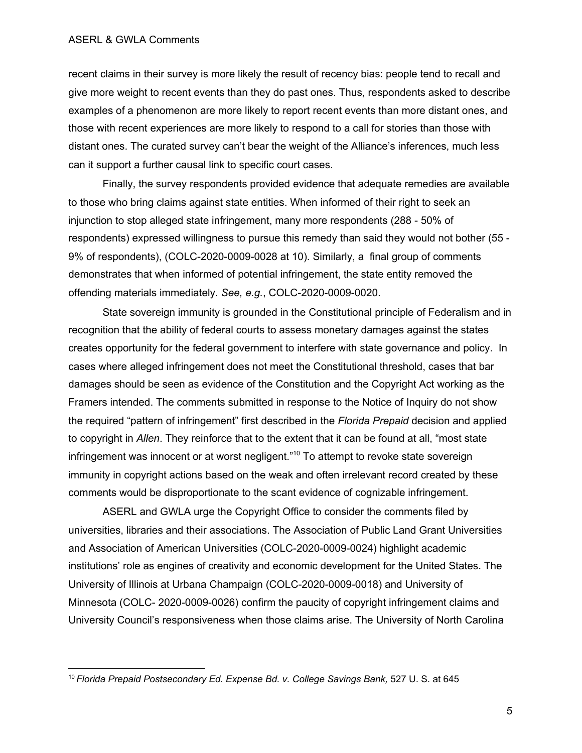## ASERL & GWLA Comments

recent claims in their survey is more likely the result of recency bias: people tend to recall and give more weight to recent events than they do past ones. Thus, respondents asked to describe examples of a phenomenon are more likely to report recent events than more distant ones, and those with recent experiences are more likely to respond to a call for stories than those with distant ones. The curated survey can't bear the weight of the Alliance's inferences, much less can it support a further causal link to specific court cases.

Finally, the survey respondents provided evidence that adequate remedies are available to those who bring claims against state entities. When informed of their right to seek an injunction to stop alleged state infringement, many more respondents (288 - 50% of respondents) expressed willingness to pursue this remedy than said they would not bother (55 - 9% of respondents), (COLC-2020-0009-0028 at 10). Similarly, a final group of comments demonstrates that when informed of potential infringement, the state entity removed the offending materials immediately. *See, e.g.*, COLC-2020-0009-0020.

State sovereign immunity is grounded in the Constitutional principle of Federalism and in recognition that the ability of federal courts to assess monetary damages against the states creates opportunity for the federal government to interfere with state governance and policy. In cases where alleged infringement does not meet the Constitutional threshold, cases that bar damages should be seen as evidence of the Constitution and the Copyright Act working as the Framers intended. The comments submitted in response to the Notice of Inquiry do not show the required "pattern of infringement" first described in the *Florida Prepaid* decision and applied to copyright in *Allen*. They reinforce that to the extent that it can be found at all, "most state infringement was innocent or at worst negligent."<sup>10</sup> To attempt to revoke state sovereign immunity in copyright actions based on the weak and often irrelevant record created by these comments would be disproportionate to the scant evidence of cognizable infringement.

ASERL and GWLA urge the Copyright Office to consider the comments filed by universities, libraries and their associations. The Association of Public Land Grant Universities and Association of American Universities (COLC-2020-0009-0024) highlight academic institutions' role as engines of creativity and economic development for the United States. The University of Illinois at Urbana Champaign (COLC-2020-0009-0018) and University of Minnesota (COLC- 2020-0009-0026) confirm the paucity of copyright infringement claims and University Council's responsiveness when those claims arise. The University of North Carolina

<sup>10</sup> *Florida Prepaid Postsecondary Ed. Expense Bd. v. College Savings Bank,* 527 U. S. at 645